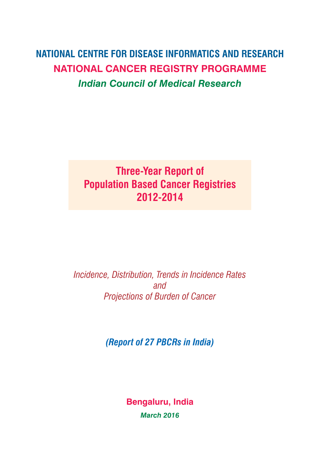## **NATIONAL CENTRE FOR DISEASE INFORMATICS and RESEARCH NATIONAL CANCER REGISTRY PROGRAMME** *Indian Council of Medical Research*

## **Three-Year Report of Population Based Cancer Registries 2012-2014**

*Incidence, Distribution, Trends in Incidence Rates and Projections of Burden of Cancer*

*(Report of 27 PBCRs in India)*

**Bengaluru, India** *March 2016*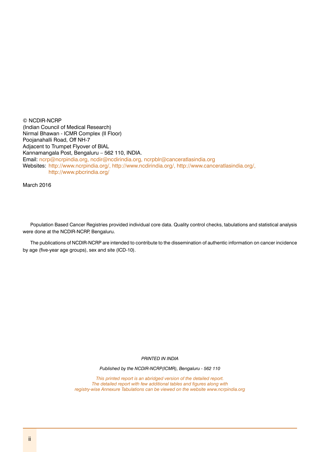© NCDIR-NCRP (Indian Council of Medical Research) Nirmal Bhawan - ICMR Complex (II Floor) Poojanahalli Road, Off NH-7 Adjacent to Trumpet Flyover of BIAL Kannamangala Post, Bengaluru – 562 110, INDIA. Email: ncrp@ncrpindia.org, ncdir@ncdirindia.org, ncrpblr@canceratlasindia.org Websites: http://www.ncrpindia.org/, http://www.ncdirindia.org/, http://www.canceratlasindia.org/, http://www.pbcrindia.org/

March 2016

Population Based Cancer Registries provided individual core data. Quality control checks, tabulations and statistical analysis were done at the NCDIR-NCRP, Bengaluru.

The publications of NCDIR-NCRP are intended to contribute to the dissemination of authentic information on cancer incidence by age (five-year age groups), sex and site (ICD-10).

*PRINTED IN INDIA* 

*Published by the NCDIR-NCRP(ICMR), Bengaluru - 562 110*

*This printed report is an abridged version of the detailed report. The detailed report with few additional tables and figures along with registry-wise Annexure Tabulations can be viewed on the website www.ncrpindia.org*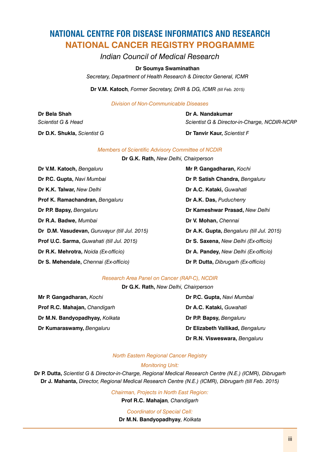## **NATIONAL CENTRE FOR DISEASE INFORMATICS AND RESEARCH NATIONAL CANCER REGISTRY PROGRAMME**

*Indian Council of Medical Research*

#### **Dr Soumya Swaminathan**

*Secretary, Department of Health Research & Director General, ICMR*

**Dr V.M. Katoch***, Former Secretary, DHR & DG, ICMR (till Feb. 2015)*

*Division of Non-Communicable Diseases*

**Dr D.K. Shukla,** *Scientist G* **Dr Tanvir Kaur,** *Scientist F*

**Dr Bela Shah Dr A. Nandakumar** *Scientist G & Head Scientist G & Director-in-Charge, NCDIR-NCRP*

#### *Members of Scientific Advisory Committee of NCDIR*

**Dr G.K. Rath,** *New Delhi, Chairperson*

**Dr V.M. Katoch,** *Bengaluru* **Mr P. Gangadharan,** *Kochi* **Dr P.C. Gupta,** *Navi Mumbai* **Dr P. Satish Chandra,** *Bengaluru* **Dr K.K. Talwar,** *New Delhi* **Dr A.C. Kataki,** *Guwahati* **Prof K. Ramachandran,** *Bengaluru* **Dr A.K. Das,** *Puducherry* **Dr P.P. Bapsy,** *Bengaluru* **Dr Kameshwar Prasad,** *New Delhi* **Dr R.A. Badwe,** *Mumbai* **Dr V. Mohan,** *Chennai* **Dr D.M. Vasudevan,** *Guruvayur (till Jul. 2015)* **Dr A.K. Gupta,** *Bengaluru (till Jul. 2015)* **Prof U.C. Sarma,** *Guwahati (till Jul. 2015)* **Dr S. Saxena,** *New Delhi (Ex-officio)*  **Dr R.K. Mehrotra,** *Noida (Ex-officio)* **Dr A. Pandey,** *New Delhi (Ex-officio)* **Dr S. Mehendale,** *Chennai (Ex-officio)* **Dr P. Dutta,** *Dibrugarh (Ex-officio)*

#### *Research Area Panel on Cancer (RAP-C), NCDIR*

**Dr G.K. Rath,** *New Delhi, Chairperson*

**Prof R.C. Mahajan,** *Chandigarh* **Dr A.C. Kataki,** *Guwahati* **Dr M.N. Bandyopadhyay,** *Kolkata* **Dr P.P. Bapsy,** *Bengaluru* **Dr Kumaraswamy,** *Bengaluru* **Dr Elizabeth Vallikad,** *Bengaluru*

**Mr P. Gangadharan,** *Kochi* **Dr P.C. Gupta,** *Navi Mumbai*  **Dr R.N. Visweswara,** *Bengaluru*

### *North Eastern Regional Cancer Registry*

#### *Monitoring Unit:*

**Dr P. Dutta,** *Scientist G & Director-in-charge, Regional Medical Research Centre (N.E.) (ICMR), Dibrugarh* **Dr J. Mahanta,** *Director, Regional Medical Research Centre (N.E.) (ICMR), Dibrugarh (till Feb. 2015)*

*Chairman, Projects in North East Region:*

**Prof R.C. Mahajan***, Chandigarh*

*Coordinator of Special Cell:*

**Dr M.N. Bandyopadhyay***, Kolkata*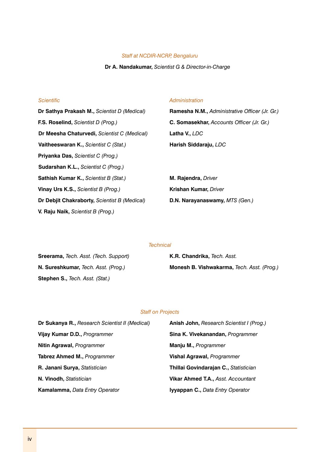#### *Staff at NCDIR-NCRP, Bengaluru*

#### **Dr A. Nandakumar,** *Scientist G & Director-in-Charge*

**F.S. Roselind,** *Scientist D (Prog.)* **C. Somasekhar,** *Accounts Officer (Jr. Gr.)* **Dr Meesha Chaturvedi,** *Scientist C (Medical)* **Latha V.,** *LDC* **Vaitheeswaran K.,** *Scientist C (Stat.)* **Harish Siddaraju,** *LDC* **Priyanka Das,** *Scientist C (Prog.)* **Sudarshan K.L.,** *Scientist C (Prog.)* **Sathish Kumar K.,** *Scientist B (Stat.)* **M. Rajendra,** *Driver* **Vinay Urs K.S.,** *Scientist B (Prog.)* **Krishan Kumar,** *Driver* **Dr Debjit Chakraborty,** *Scientist B (Medical)* **D.N. Narayanaswamy,** *MTS (Gen.)* **V. Raju Naik,** *Scientist B (Prog.)*

#### *Scientific Administration*

**Dr Sathya Prakash M.,** *Scientist D (Medical)* **Ramesha N.M.,** *Administrative Officer (Jr. Gr.)*

#### *Technical*

**Sreerama,** *Tech. Asst. (Tech. Support)* **K.R. Chandrika,** *Tech. Asst.* **Stephen S.,** *Tech. Asst. (Stat.)*

**N. Sureshkumar,** *Tech. Asst. (Prog.)* **Monesh B. Vishwakarma,** *Tech. Asst. (Prog.)*

#### *Staff on Projects*

| <b>Dr Sukanya R., Research Scientist II (Medical)</b> | <b>Anish John, Research Scientist I (Prog.)</b> |
|-------------------------------------------------------|-------------------------------------------------|
| Vijay Kumar D.D., Programmer                          | Sina K. Vivekanandan, Programmer                |
| Nitin Agrawal, Programmer                             | Manju M., Programmer                            |
| Tabrez Ahmed M., Programmer                           | <b>Vishal Agrawal, Programmer</b>               |
| R. Janani Surya, Statistician                         | Thillai Govindarajan C., Statistician           |
| N. Vinodh, Statistician                               | <b>Vikar Ahmed T.A., Asst. Accountant</b>       |
| Kamalamma, Data Entry Operator                        | <b>Iyyappan C., Data Entry Operator</b>         |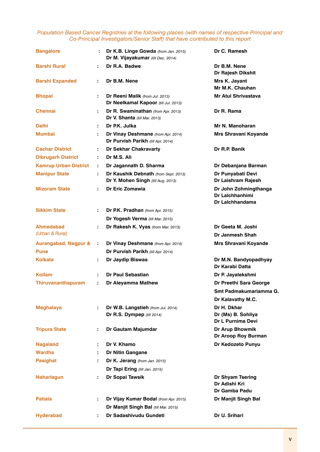#### *Population Based Cancer Registries at the following places (with names of respective Principal and Co-Principal Investigators/Senior Staff) that have contributed to this report*

| <b>Bangalore</b>                    | ÷  | Dr K.B. Linge Gowda (from Jan. 2015)<br>Dr M. Vijayakumar (till Dec. 2014) | Dr C. Ramesh                                                |
|-------------------------------------|----|----------------------------------------------------------------------------|-------------------------------------------------------------|
| <b>Barshi Rural</b>                 | ÷  | Dr R.A. Badwe                                                              | Dr B.M. Nene<br>Dr Rajesh Dikshit                           |
| <b>Barshi Expanded</b>              | ÷  | Dr B.M. Nene                                                               | Mrs K. Jayant<br>Mr M.K. Chauhan                            |
| <b>Bhopal</b>                       | ÷. | Dr Reeni Malik (from Jul. 2013)<br>Dr Neelkamal Kapoor (till Jul. 2013)    | <b>Mr Atul Shrivastava</b>                                  |
| <b>Chennai</b>                      | ÷. | Dr R. Swaminathan (from Apr. 2013)<br>Dr V. Shanta (till Mar. 2013)        | Dr R. Rama                                                  |
| <b>Delhi</b>                        | ÷. | Dr P.K. Julka                                                              | Mr N. Manoharan                                             |
| Mumbai                              | ÷  | Dr Vinay Deshmane (from Apr. 2014)<br>Dr Purvish Parikh (till Apr. 2014)   | Mrs Shravani Koyande                                        |
| <b>Cachar District</b>              | ÷  | <b>Dr Sekhar Chakravarty</b>                                               | Dr R.P. Banik                                               |
| <b>Dibrugarh District</b>           | ÷. | Dr M.S. Ali                                                                |                                                             |
| <b>Kamrup Urban District</b>        | ÷. | Dr Jagannath D. Sharma                                                     | Dr Debanjana Barman                                         |
| <b>Manipur State</b>                |    | Dr Kaushik Debnath (from Sept. 2013)<br>Dr Y. Mohen Singh (till Aug. 2013) | Dr Punyabati Devi<br>Dr Laishram Rajesh                     |
| <b>Mizoram State</b>                | ÷  | Dr Eric Zomawia                                                            | Dr John Zohmingthanga<br>Dr Lalchhanhimi<br>Dr Laichhandama |
| <b>Sikkim State</b>                 |    | Dr P.K. Pradhan (from Apr. 2015)                                           |                                                             |
|                                     |    | Dr Yogesh Verma (till Mar. 2015)                                           |                                                             |
| <b>Ahmedabad</b><br>(Urban & Rural) | ÷  | Dr Rakesh K. Vyas (from Mar. 2013)                                         | Dr Geeta M. Joshi<br>Dr Janmesh Shah                        |
| <b>Aurangabad, Nagpur &amp;</b>     | ÷  | Dr Vinay Deshmane (from Apr. 2014)                                         | Mrs Shravani Koyande                                        |
| <b>Pune</b>                         |    | Dr Purvish Parikh (till Apr. 2014)                                         |                                                             |
| Kolkata                             | ÷. | Dr Jaydip Biswas                                                           | Dr M.N. Bandyopadhyay<br>Dr Karabi Datta                    |
| Kollam                              |    | Dr Paul Sebastian                                                          | Dr P. Jayalekshmi                                           |
| <b>Thiruvananthapuram</b>           | ÷  | Dr Aleyamma Mathew                                                         | Dr Preethi Sara George                                      |
|                                     |    |                                                                            | Smt Padmakumariamma G.<br>Dr Kalavathy M.C.                 |
| <b>Meghalaya</b>                    | ÷. | Dr W.B. Langstieh (from Jul. 2014)<br>Dr R.S. Dympep (till 2014)           | Dr H. Dkhar<br>Dr (Ms) B. Sohliya<br>Dr L Purnima Devi      |
| <b>Tripura State</b>                | ÷. | Dr Gautam Majumdar                                                         | Dr Arup Bhowmik<br>Dr Aroop Roy Burman                      |
| <b>Nagaland</b>                     | ÷. | Dr V. Khamo                                                                | Dr Kedozeto Punyu                                           |
| Wardha                              |    | Dr Nitin Gangane                                                           |                                                             |
| <b>Pasighat</b>                     | ÷  | Dr K. Jerang (from Jan. 2015)                                              |                                                             |
|                                     |    | Dr Tapi Ering (till Jan. 2015)                                             |                                                             |
| <b>Naharlagun</b>                   | ÷. | Dr Sopai Tawsik                                                            | Dr Shyam Tsering<br>Dr Adishi Kri<br>Dr Gamba Padu          |
| Patiala                             | ÷. | Dr Vijay Kumar Bodal (from Apr. 2015)                                      | Dr Manjit Singh Bal                                         |
|                                     |    | Dr Manjit Singh Bal (till Mar. 2015)                                       |                                                             |
| <b>Hyderabad</b>                    |    | Dr Sadashivudu Gundeti                                                     | Dr U. Srihari                                               |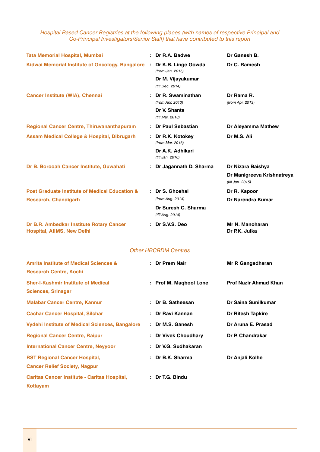*Hospital Based Cancer Registries at the following places (with names of respective Principal and Co-Principal Investigators/Senior Staff) that have contributed to this report*

| <b>Tata Memorial Hospital, Mumbai</b>                                              |  | : Dr R.A. Badwe                                                                  | Dr Ganesh B.                                                        |
|------------------------------------------------------------------------------------|--|----------------------------------------------------------------------------------|---------------------------------------------------------------------|
| Kidwai Memorial Institute of Oncology, Bangalore                                   |  | Dr K.B. Linge Gowda<br>(from Jan. 2015)<br>Dr M. Vijayakumar<br>(till Dec. 2014) | Dr C. Ramesh                                                        |
| <b>Cancer Institute (WIA), Chennai</b>                                             |  | Dr R. Swaminathan<br>(from Apr. 2013)<br>Dr V. Shanta<br>(till Mar. 2013)        | Dr Rama R.<br>(from Apr. 2013)                                      |
| <b>Regional Cancer Centre, Thiruvananthapuram</b>                                  |  | Dr Paul Sebastian                                                                | Dr Aleyamma Mathew                                                  |
| <b>Assam Medical College &amp; Hospital, Dibrugarh</b>                             |  | Dr R.K. Kotokey<br>(from Mar. 2016)                                              | Dr M.S. Ali                                                         |
|                                                                                    |  | Dr A.K. Adhikari<br>(till Jan. 2016)                                             |                                                                     |
| Dr B. Borooah Cancer Institute, Guwahati                                           |  | Dr Jagannath D. Sharma                                                           | Dr Nizara Baishya<br>Dr Manigreeva Krishnatreya<br>(till Jan. 2015) |
| <b>Post Graduate Institute of Medical Education &amp;</b>                          |  | : Dr S. Ghoshal                                                                  | Dr R. Kapoor                                                        |
| <b>Research, Chandigarh</b>                                                        |  | (from Aug. 2014)                                                                 | Dr Narendra Kumar                                                   |
|                                                                                    |  | Dr Suresh C. Sharma<br>(till Aug. 2014)                                          |                                                                     |
| Dr B.R. Ambedkar Institute Rotary Cancer<br><b>Hospital, AllMS, New Delhi</b>      |  | : Dr S.V.S. Deo                                                                  | Mr N. Manoharan<br>Dr P.K. Julka                                    |
|                                                                                    |  | <b>Other HBCRDM Centres</b>                                                      |                                                                     |
| <b>Amrita Institute of Medical Sciences &amp;</b><br><b>Research Centre, Kochi</b> |  | : Dr Prem Nair                                                                   | Mr P. Gangadharan                                                   |
| <b>Sher-I-Kashmir Institute of Medical</b><br><b>Sciences, Srinagar</b>            |  | : Prof M. Magbool Lone                                                           | <b>Prof Nazir Ahmad Khan</b>                                        |
| <b>Malabar Cancer Centre, Kannur</b>                                               |  | : Dr B. Satheesan                                                                | Dr Saina Sunilkumar                                                 |
| <b>Cachar Cancer Hospital, Silchar</b>                                             |  | Dr Ravi Kannan                                                                   | Dr Ritesh Tapkire                                                   |
| <b>Vydehi Institute of Medical Sciences, Bangalore</b>                             |  | Dr M.S. Ganesh                                                                   | Dr Aruna E. Prasad                                                  |
| <b>Regional Cancer Centre, Raipur</b>                                              |  | : Dr Vivek Choudhary                                                             | Dr P. Chandrakar                                                    |
| <b>International Cancer Centre, Neyyoor</b>                                        |  | Dr V.G. Sudhakaran                                                               |                                                                     |
| <b>RST Regional Cancer Hospital,</b>                                               |  | : Dr B.K. Sharma                                                                 | Dr Anjali Kolhe                                                     |
| <b>Cancer Relief Society, Nagpur</b>                                               |  |                                                                                  |                                                                     |
| <b>Caritas Cancer Institute - Caritas Hospital,</b><br><b>Kottayam</b>             |  | : Dr T.G. Bindu                                                                  |                                                                     |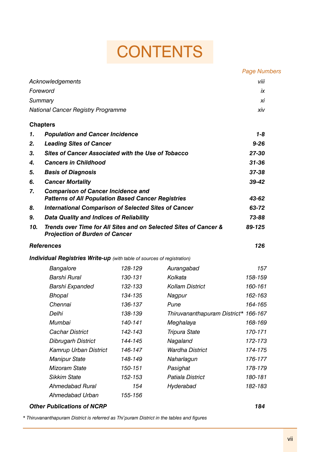# **CONTENTS**

|     |                                                                                                           |         |                                      | <b>Page Numbers</b> |
|-----|-----------------------------------------------------------------------------------------------------------|---------|--------------------------------------|---------------------|
|     | Acknowledgements                                                                                          |         |                                      | viii                |
|     | Foreword                                                                                                  |         |                                      | iх                  |
|     | Summary                                                                                                   |         |                                      | хi                  |
|     | <b>National Cancer Registry Programme</b>                                                                 |         |                                      | xiv                 |
|     | <b>Chapters</b>                                                                                           |         |                                      |                     |
| 1.  | <b>Population and Cancer Incidence</b>                                                                    |         |                                      | $1 - 8$             |
| 2.  | <b>Leading Sites of Cancer</b>                                                                            |         | $9 - 26$                             |                     |
| 3.  | <b>Sites of Cancer Associated with the Use of Tobacco</b>                                                 |         | 27-30                                |                     |
| 4.  | <b>Cancers in Childhood</b>                                                                               |         |                                      | $31 - 36$           |
| 5.  | <b>Basis of Diagnosis</b>                                                                                 |         |                                      | 37-38               |
| 6.  | <b>Cancer Mortality</b>                                                                                   |         |                                      | 39-42               |
| 7.  | <b>Comparison of Cancer Incidence and</b><br><b>Patterns of All Population Based Cancer Registries</b>    |         |                                      | 43-62               |
| 8.  | <b>International Comparison of Selected Sites of Cancer</b>                                               |         | 63-72                                |                     |
| 9.  | <b>Data Quality and Indices of Reliability</b>                                                            |         |                                      | 73-88               |
| 10. | Trends over Time for All Sites and on Selected Sites of Cancer &<br><b>Projection of Burden of Cancer</b> |         | 89-125                               |                     |
|     | <b>References</b>                                                                                         |         |                                      | 126                 |
|     | <b>Individual Registries Write-up</b> (with table of sources of registration)                             |         |                                      |                     |
|     | Bangalore                                                                                                 | 128-129 | Aurangabad                           | 157                 |
|     | Barshi Rural                                                                                              | 130-131 | Kolkata                              | 158-159             |
|     | Barshi Expanded                                                                                           | 132-133 | <b>Kollam District</b>               | 160-161             |
|     | <b>Bhopal</b>                                                                                             | 134-135 | Nagpur                               | 162-163             |
|     | Chennai                                                                                                   | 136-137 | Pune                                 | 164-165             |
|     | Delhi                                                                                                     | 138-139 | Thiruvananthapuram District* 166-167 |                     |
|     | Mumbai                                                                                                    | 140-141 | Meghalaya                            | 168-169             |
|     | <b>Cachar District</b>                                                                                    | 142-143 | <b>Tripura State</b>                 | 170-171             |
|     | <b>Dibrugarh District</b>                                                                                 | 144-145 | Nagaland                             | 172-173             |
|     | Kamrup Urban District                                                                                     | 146-147 | <b>Wardha District</b>               | 174-175             |
|     | <b>Manipur State</b>                                                                                      | 148-149 | Naharlagun                           | 176-177             |
|     | <b>Mizoram State</b>                                                                                      | 150-151 | Pasighat                             | 178-179             |

*Patiala District 180-181 Hyderabad 182-183*

*\* Thiruvananthapuram District is referred as Thi'puram District in the tables and figures*

*Sikkim State 152-153 Ahmedabad Rural 154 Ahmedabad Urban 155-156*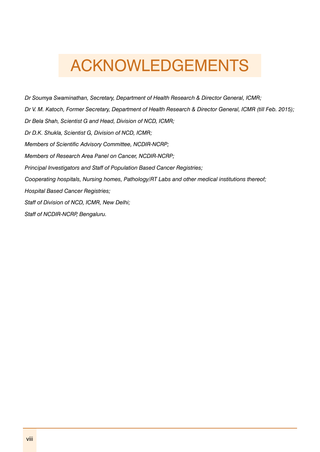# ACKNOWLEDGEMENTS

*Dr Soumya Swaminathan, Secretary, Department of Health Research & Director General, ICMR; Dr V. M. Katoch, Former Secretary, Department of Health Research & Director General, ICMR (till Feb. 2015); Dr Bela Shah, Scientist G and Head, Division of NCD, ICMR; Dr D.K. Shukla, Scientist G, Division of NCD, ICMR; Members of Scientific Advisory Committee, NCDIR-NCRP; Members of Research Area Panel on Cancer, NCDIR-NCRP; Principal Investigators and Staff of Population Based Cancer Registries; Cooperating hospitals, Nursing homes, Pathology/RT Labs and other medical institutions thereof; Hospital Based Cancer Registries; Staff of Division of NCD, ICMR, New Delhi; Staff of NCDIR-NCRP, Bengaluru.*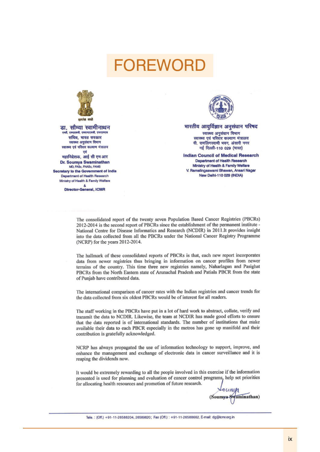## **FOREWOF**



डा. सौम्या स्वामीनाथन aft एकएरसनी एकएनएएसनी एजए। सचिव, भारत सरकार स्वास्थ्य अनुसंघान विभाग स्वास्थ्य एवं परिवार कल्याण मंत्रालय एवं

महानिदेशक, आई सी एम आर Dr. Soumya Swaminathan MD, FASc, FNASc, FAMS Secretary to the Government of India Department of Health Research Ministry of Health & Family Welfare

> å **Director-General, ICMR**



भारतीय आयुर्विज्ञान अनुसंधान परिषद स्वास्थ्य अनुसंधान विभाग स्वास्थ्य एवं परिवार कल्याण मंत्रालय वी. रामलिंगस्वामी भवन, अंसारी नगर

नई दिल्ली-110 029 (भारत) **Indian Council of Medical Research** Department of Health Research Ministry of Health & Family Welfare V. Ramalingaswami Bhawan, Ansari Nagar New Delhi-110 029 (INDIA)

The consolidated report of the twenty seven Population Based Cancer Registries (PBCRs) 2012-2014 is the second report of PBCRs since the establishment of the permanent institute -National Centre for Disease Informatics and Research (NCDIR) in 2011.It provides insight into the data collected from all the PBCRs under the National Cancer Registry Programme (NCRP) for the years 2012-2014.

The hallmark of these consolidated reports of PBCRs is that, each new report incorporates data from newer registries thus bringing in information on cancer profiles from newer terrains of the country. This time three new registries namely, Naharlagun and Pasighat PBCRs from the North Eastern state of Arunachal Pradesh and Patiala PBCR from the state of Punjab have contributed data.

The international comparison of cancer rates with the Indian registries and cancer trends for the data collected from six oldest PBCRs would be of interest for all readers.

The staff working in the PBCRs have put in a lot of hard work to abstract, collate, verify and transmit the data to NCDIR. Likewise, the team at NCDIR has made good efforts to ensure that the data reported is of international standards. The number of institutions that make available their data to each PBCR especially in the metros has gone up manifold and their contribution is gratefully acknowledged.

NCRP has always propagated the use of information technology to support, improve, and enhance the management and exchange of electronic data in cancer surveillance and it is reaping the dividends now.

It would be extremely rewarding to all the people involved in this exercise if the information presented is used for planning and evaluation of cancer control programs, help set priorities for allocating health resources and promotion of future research.

Swaminathan) (Soumwa

Tele.: (Off.) +91-11-26588204, 26589620; Fax (Off.): +91-11-26588662, E-mail: dg@icmr.org.in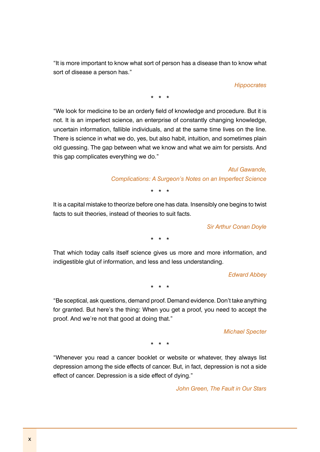"It is more important to know what sort of person has a disease than to know what sort of disease a person has."

*Hippocrates*

\* \* \*

"We look for medicine to be an orderly field of knowledge and procedure. But it is not. It is an imperfect science, an enterprise of constantly changing knowledge, uncertain information, fallible individuals, and at the same time lives on the line. There is science in what we do, yes, but also habit, intuition, and sometimes plain old guessing. The gap between what we know and what we aim for persists. And this gap complicates everything we do."

> *Atul Gawande, Complications: A Surgeon's Notes on an Imperfect Science*

> > \* \* \*

It is a capital mistake to theorize before one has data. Insensibly one begins to twist facts to suit theories, instead of theories to suit facts.

*Sir Arthur Conan Doyle*

\* \* \*

That which today calls itself science gives us more and more information, and indigestible glut of information, and less and less understanding.

*Edward Abbey*

\* \* \*

"Be sceptical, ask questions, demand proof. Demand evidence. Don't take anything for granted. But here's the thing: When you get a proof, you need to accept the proof. And we're not that good at doing that."

*Michael Specter*

\* \* \*

"Whenever you read a cancer booklet or website or whatever, they always list depression among the side effects of cancer. But, in fact, depression is not a side effect of cancer. Depression is a side effect of dying."

*John Green, The Fault in Our Stars*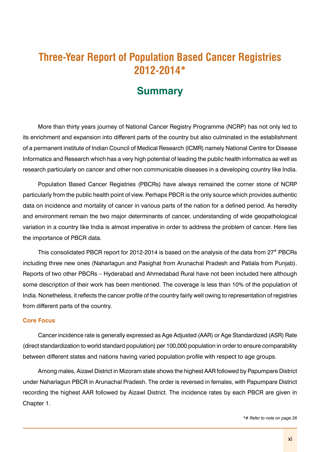## **Three-Year Report of Population Based Cancer Registries 2012-2014\***

## **Summary**

More than thirty years journey of National Cancer Registry Programme (NCRP) has not only led to its enrichment and expansion into different parts of the country but also culminated in the establishment of a permanent institute of Indian Council of Medical Research (ICMR) namely National Centre for Disease Informatics and Research which has a very high potential of leading the public health informatics as well as research particularly on cancer and other non communicable diseases in a developing country like India.

Population Based Cancer Registries (PBCRs) have always remained the corner stone of NCRP particularly from the public health point of view. Perhaps PBCR is the only source which provides authentic data on incidence and mortality of cancer in various parts of the nation for a defined period. As heredity and environment remain the two major determinants of cancer, understanding of wide geopathological variation in a country like India is almost imperative in order to address the problem of cancer. Here lies the importance of PBCR data.

This consolidated PBCR report for 2012-2014 is based on the analysis of the data from  $27<sup>*</sup>$  PBCRs including three new ones (Naharlagun and Pasighat from Arunachal Pradesh and Patiala from Punjab). Reports of two other PBCRs – Hyderabad and Ahmedabad Rural have not been included here although some description of their work has been mentioned. The coverage is less than 10% of the population of India. Nonetheless, it reflects the cancer profile of the country fairly well owing to representation of registries from different parts of the country.

#### **Core Focus**

Cancer incidence rate is generally expressed as Age Adjusted (AAR) or Age Standardized (ASR) Rate (direct standardization to world standard population) per 100,000 population in order to ensure comparability between different states and nations having varied population profile with respect to age groups.

Among males, Aizawl District in Mizoram state shows the highest AAR followed by Papumpare District under Naharlagun PBCR in Arunachal Pradesh. The order is reversed in females, with Papumpare District recording the highest AAR followed by Aizawl District. The incidence rates by each PBCR are given in Chapter 1.

*\*# Refer to note on page 26*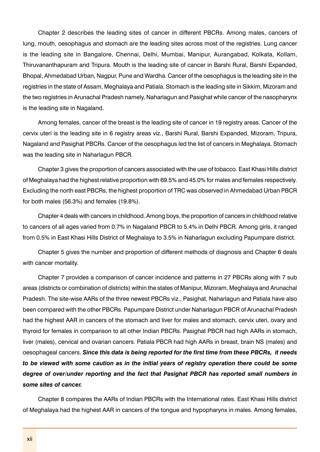Chapter 2 describes the leading sites of cancer in different PBCRs. Among males, cancers of lung, mouth, oesophagus and stomach are the leading sites across most of the registries. Lung cancer is the leading site in Bangalore, Chennai, Delhi, Mumbai, Manipur, Aurangabad, Kolkata, Kollam, Thiruvananthapuram and Tripura. Mouth is the leading site of cancer in Barshi Rural, Barshi Expanded, Bhopal, Ahmedabad Urban, Nagpur, Pune and Wardha. Cancer of the oesophagus is the leading site in the registries in the state of Assam, Meghalaya and Patiala. Stomach is the leading site in Sikkim, Mizoram and the two registries in Arunachal Pradesh namely, Naharlagun and Pasighat while cancer of the nasopharynx is the leading site in Nagaland.

Among females, cancer of the breast is the leading site of cancer in 19 registry areas. Cancer of the cervix uteri is the leading site in 6 registry areas viz., Barshi Rural, Barshi Expanded, Mizoram, Tripura, Nagaland and Pasighat PBCRs. Cancer of the oesophagus led the list of cancers in Meghalaya. Stomach was the leading site in Naharlagun PBCR.

Chapter 3 gives the proportion of cancers associated with the use of tobacco. East Khasi Hills district of Meghalaya had the highest relative proportion with 69.5% and 45.0% for males and females respectively. Excluding the north east PBCRs, the highest proportion of TRC was observed in Ahmedabad Urban PBCR for both males (56.3%) and females (19.8%).

Chapter 4 deals with cancers in childhood. Among boys, the proportion of cancers in childhood relative to cancers of all ages varied from 0.7% in Nagaland PBCR to 5.4% in Delhi PBCR. Among girls, it ranged from 0.5% in East Khasi Hills District of Meghalaya to 3.5% in Naharlagun excluding Papumpare district.

Chapter 5 gives the number and proportion of different methods of diagnosis and Chapter 6 deals with cancer mortality.

Chapter 7 provides a comparison of cancer incidence and patterns in 27 PBCRs along with 7 sub areas (districts or combination of districts) within the states of Manipur, Mizoram, Meghalaya and Arunachal Pradesh. The site-wise AARs of the three newest PBCRs viz., Pasighat, Naharlagun and Patiala have also been compared with the other PBCRs. Papumpare District under Naharlagun PBCR of Arunachal Pradesh had the highest AAR in cancers of the stomach and liver for males and stomach, cervix uteri, ovary and thyroid for females in comparison to all other Indian PBCRs. Pasighat PBCR had high AARs in stomach, liver (males), cervical and ovarian cancers. Patiala PBCR had high AARs in breast, brain NS (males) and oesophageal cancers. *Since this data is being reported for the first time from these PBCRs, it needs to be viewed with some caution as in the initial years of registry operation there could be some degree of over/under reporting and the fact that Pasighat PBCR has reported small numbers in some sites of cancer.*

Chapter 8 compares the AARs of Indian PBCRs with the International rates. East Khasi Hills district of Meghalaya had the highest AAR in cancers of the tongue and hypopharynx in males. Among females,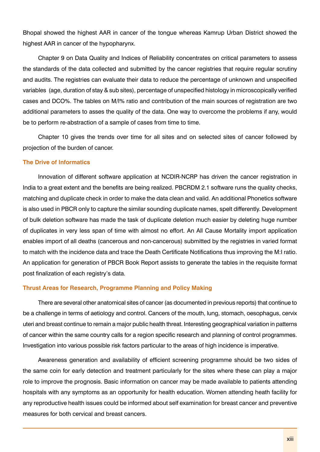Bhopal showed the highest AAR in cancer of the tongue whereas Kamrup Urban District showed the highest AAR in cancer of the hypopharynx.

Chapter 9 on Data Quality and Indices of reliability concentrates on critical parameters to assess the standards of the data collected and submitted by the cancer registries that require regular scrutiny and audits. The registries can evaluate their data to reduce the percentage of unknown and unspecified variables (age, duration of stay & sub sites), percentage of unspecified histology in microscopically verified cases and DCO%. The tables on M/I% ratio and contribution of the main sources of registration are two additional parameters to asses the quality of the data. One way to overcome the problems if any, would be to perform re-abstraction of a sample of cases from time to time.

Chapter 10 gives the trends over time for all sites and on selected sites of cancer followed by projection of the burden of cancer.

### **The Drive of Informatics**

Innovation of different software application at NCDIR-NCRP has driven the cancer registration in India to a great extent and the benefits are being realized. PBCRDM 2.1 software runs the quality checks, matching and duplicate check in order to make the data clean and valid. An additional Phonetics software is also used in PBCR only to capture the similar sounding duplicate names, spelt differently. Development of bulk deletion software has made the task of duplicate deletion much easier by deleting huge number of duplicates in very less span of time with almost no effort. An All Cause Mortality import application enables import of all deaths (cancerous and non-cancerous) submitted by the registries in varied format to match with the incidence data and trace the Death Certificate Notifications thus improving the M:I ratio. An application for generation of PBCR Book Report assists to generate the tables in the requisite format post finalization of each registry's data.

#### **Thrust Areas for Research, Programme Planning and Policy Making**

There are several other anatomical sites of cancer (as documented in previous reports) that continue to be a challenge in terms of aetiology and control. Cancers of the mouth, lung, stomach, oesophagus, cervix uteri and breast continue to remain a major public health threat. Interesting geographical variation in patterns of cancer within the same country calls for a region specific research and planning of control programmes. Investigation into various possible risk factors particular to the areas of high incidence is imperative.

Awareness generation and availability of efficient screening programme should be two sides of the same coin for early detection and treatment particularly for the sites where these can play a major role to improve the prognosis. Basic information on cancer may be made available to patients attending hospitals with any symptoms as an opportunity for health education. Women attending heath facility for any reproductive health issues could be informed about self examination for breast cancer and preventive measures for both cervical and breast cancers.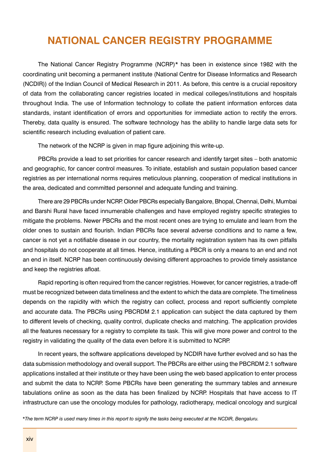## **NATIONAL CANCER REGISTRY PROGRAMME**

The National Cancer Registry Programme (NCRP)\* has been in existence since 1982 with the coordinating unit becoming a permanent institute (National Centre for Disease Informatics and Research (NCDIR)) of the Indian Council of Medical Research in 2011. As before, this centre is a crucial repository of data from the collaborating cancer registries located in medical colleges/institutions and hospitals throughout India. The use of Information technology to collate the patient information enforces data standards, instant identification of errors and opportunities for immediate action to rectify the errors. Thereby, data quality is ensured. The software technology has the ability to handle large data sets for scientific research including evaluation of patient care.

The network of the NCRP is given in map figure adjoining this write-up.

PBCRs provide a lead to set priorities for cancer research and identify target sites – both anatomic and geographic, for cancer control measures. To initiate, establish and sustain population based cancer registries as per international norms requires meticulous planning, cooperation of medical institutions in the area, dedicated and committed personnel and adequate funding and training.

There are 29 PBCRs under NCRP. Older PBCRs especially Bangalore, Bhopal, Chennai, Delhi, Mumbai and Barshi Rural have faced innumerable challenges and have employed registry specific strategies to mitigate the problems. Newer PBCRs and the most recent ones are trying to emulate and learn from the older ones to sustain and flourish. Indian PBCRs face several adverse conditions and to name a few, cancer is not yet a notifiable disease in our country, the mortality registration system has its own pitfalls and hospitals do not cooperate at all times. Hence, instituting a PBCR is only a means to an end and not an end in itself. NCRP has been continuously devising different approaches to provide timely assistance and keep the registries afloat.

Rapid reporting is often required from the cancer registries. However, for cancer registries, a trade-off must be recognized between data timeliness and the extent to which the data are complete. The timeliness depends on the rapidity with which the registry can collect, process and report sufficiently complete and accurate data. The PBCRs using PBCRDM 2.1 application can subject the data captured by them to different levels of checking, quality control, duplicate checks and matching. The application provides all the features necessary for a registry to complete its task. This will give more power and control to the registry in validating the quality of the data even before it is submitted to NCRP.

In recent years, the software applications developed by NCDIR have further evolved and so has the data submission methodology and overall support. The PBCRs are either using the PBCRDM 2.1 software applications installed at their institute or they have been using the web based application to enter process and submit the data to NCRP. Some PBCRs have been generating the summary tables and annexure tabulations online as soon as the data has been finalized by NCRP. Hospitals that have access to IT infrastructure can use the oncology modules for pathology, radiotherapy, medical oncology and surgical

*\*The term NCRP is used many times in this report to signify the tasks being executed at the NCDIR, Bengaluru.*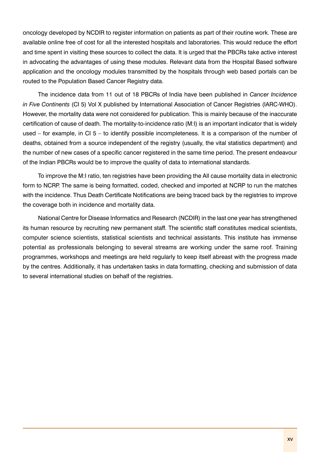oncology developed by NCDIR to register information on patients as part of their routine work. These are available online free of cost for all the interested hospitals and laboratories. This would reduce the effort and time spent in visiting these sources to collect the data. It is urged that the PBCRs take active interest in advocating the advantages of using these modules. Relevant data from the Hospital Based software application and the oncology modules transmitted by the hospitals through web based portals can be routed to the Population Based Cancer Registry data.

The incidence data from 11 out of 18 PBCRs of India have been published in *Cancer Incidence in Five Continents* (CI 5) Vol X published by International Association of Cancer Registries (IARC-WHO). However, the mortality data were not considered for publication. This is mainly because of the inaccurate certification of cause of death. The mortality-to-incidence ratio (M:I) is an important indicator that is widely used – for example, in CI 5 – to identify possible incompleteness. It is a comparison of the number of deaths, obtained from a source independent of the registry (usually, the vital statistics department) and the number of new cases of a specific cancer registered in the same time period. The present endeavour of the Indian PBCRs would be to improve the quality of data to international standards.

To improve the M:I ratio, ten registries have been providing the All cause mortality data in electronic form to NCRP. The same is being formatted, coded, checked and imported at NCRP to run the matches with the incidence. Thus Death Certificate Notifications are being traced back by the registries to improve the coverage both in incidence and mortality data.

National Centre for Disease Informatics and Research (NCDIR) in the last one year has strengthened its human resource by recruiting new permanent staff. The scientific staff constitutes medical scientists, computer science scientists, statistical scientists and technical assistants. This institute has immense potential as professionals belonging to several streams are working under the same roof. Training programmes, workshops and meetings are held regularly to keep itself abreast with the progress made by the centres. Additionally, it has undertaken tasks in data formatting, checking and submission of data to several international studies on behalf of the registries.